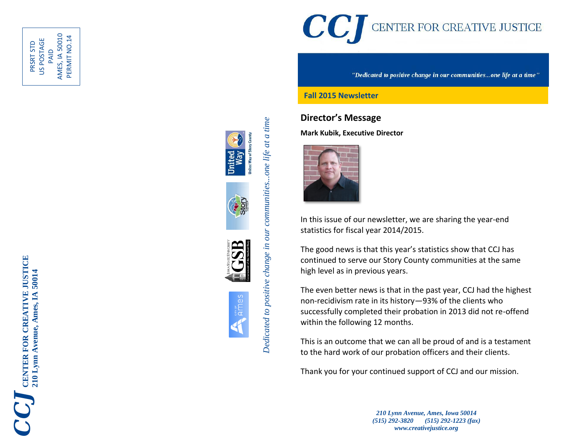

PAID<br>AMES, IA 50010 AMES, IA 50010 PERMIT NO.14 PERMIT NO.14US POSTAGE PRSRT STD







arver<br>AMes





"Dedicated to positive change in our communities...one life at a time"

#### **Fall 2015 Newsletter**

# **Director's Message**

**Mark Kubik, Executive Director**



In this issue of our newsletter, we are sharing the year -end statistics for fiscal year 2014/2015.

The good news is that this year's statistics show that CCJ has continued to serve our Story County communities at the same high level as in previous years.

The even better news is that in the past year, CCJ had the highest non -recidivism rate in its history —93% of the clients who successfully completed their probation in 2013 did not re -offend within the following 12 months .

This is an outcome that we can all be proud of and is a testament to the hard work of our probation officers and their clients.

Thank you for your continued support of CCJ and our mission.

*210 Lynn Avenue, Ames, Iowa 50014 (515) 292 -3820 (515) 292 -1223 (fax) www.creativejustice.org*